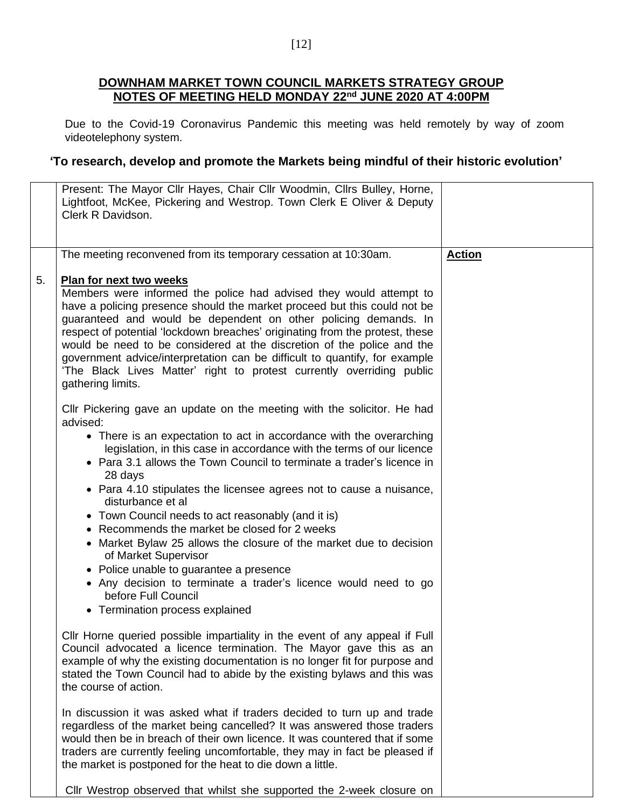## **DOWNHAM MARKET TOWN COUNCIL MARKETS STRATEGY GROUP NOTES OF MEETING HELD MONDAY 22nd JUNE 2020 AT 4:00PM**

Due to the Covid-19 Coronavirus Pandemic this meeting was held remotely by way of zoom videotelephony system.

## **'To research, develop and promote the Markets being mindful of their historic evolution'**

|    | Present: The Mayor Cllr Hayes, Chair Cllr Woodmin, Cllrs Bulley, Horne,<br>Lightfoot, McKee, Pickering and Westrop. Town Clerk E Oliver & Deputy<br>Clerk R Davidson.                                                                                                                                                                                                                                                                                                                                                                                                                                                                                                                                                                                                                            |               |
|----|--------------------------------------------------------------------------------------------------------------------------------------------------------------------------------------------------------------------------------------------------------------------------------------------------------------------------------------------------------------------------------------------------------------------------------------------------------------------------------------------------------------------------------------------------------------------------------------------------------------------------------------------------------------------------------------------------------------------------------------------------------------------------------------------------|---------------|
|    | The meeting reconvened from its temporary cessation at 10:30am.                                                                                                                                                                                                                                                                                                                                                                                                                                                                                                                                                                                                                                                                                                                                  | <b>Action</b> |
| 5. | <b>Plan for next two weeks</b><br>Members were informed the police had advised they would attempt to<br>have a policing presence should the market proceed but this could not be<br>guaranteed and would be dependent on other policing demands. In<br>respect of potential 'lockdown breaches' originating from the protest, these<br>would be need to be considered at the discretion of the police and the<br>government advice/interpretation can be difficult to quantify, for example<br>'The Black Lives Matter' right to protest currently overriding public<br>gathering limits.                                                                                                                                                                                                        |               |
|    | CIIr Pickering gave an update on the meeting with the solicitor. He had<br>advised:<br>• There is an expectation to act in accordance with the overarching<br>legislation, in this case in accordance with the terms of our licence<br>• Para 3.1 allows the Town Council to terminate a trader's licence in<br>28 days<br>• Para 4.10 stipulates the licensee agrees not to cause a nuisance,<br>disturbance et al<br>• Town Council needs to act reasonably (and it is)<br>• Recommends the market be closed for 2 weeks<br>• Market Bylaw 25 allows the closure of the market due to decision<br>of Market Supervisor<br>• Police unable to guarantee a presence<br>• Any decision to terminate a trader's licence would need to go<br>before Full Council<br>• Termination process explained |               |
|    | CIIr Horne queried possible impartiality in the event of any appeal if Full<br>Council advocated a licence termination. The Mayor gave this as an<br>example of why the existing documentation is no longer fit for purpose and<br>stated the Town Council had to abide by the existing bylaws and this was<br>the course of action.<br>In discussion it was asked what if traders decided to turn up and trade<br>regardless of the market being cancelled? It was answered those traders<br>would then be in breach of their own licence. It was countered that if some                                                                                                                                                                                                                        |               |
|    | traders are currently feeling uncomfortable, they may in fact be pleased if<br>the market is postponed for the heat to die down a little.<br>Cllr Westrop observed that whilst she supported the 2-week closure on                                                                                                                                                                                                                                                                                                                                                                                                                                                                                                                                                                               |               |